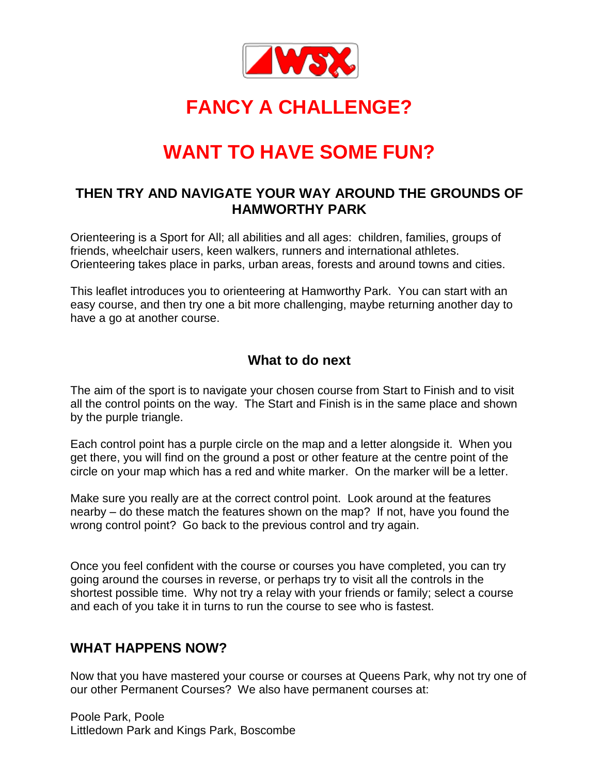

# **FANCY A CHALLENGE?**

# **WANT TO HAVE SOME FUN?**

#### **THEN TRY AND NAVIGATE YOUR WAY AROUND THE GROUNDS OF HAMWORTHY PARK**

Orienteering is a Sport for All; all abilities and all ages: children, families, groups of friends, wheelchair users, keen walkers, runners and international athletes. Orienteering takes place in parks, urban areas, forests and around towns and cities.

This leaflet introduces you to orienteering at Hamworthy Park. You can start with an easy course, and then try one a bit more challenging, maybe returning another day to have a go at another course.

#### **What to do next**

The aim of the sport is to navigate your chosen course from Start to Finish and to visit all the control points on the way. The Start and Finish is in the same place and shown by the purple triangle.

Each control point has a purple circle on the map and a letter alongside it. When you get there, you will find on the ground a post or other feature at the centre point of the circle on your map which has a red and white marker. On the marker will be a letter.

Make sure you really are at the correct control point. Look around at the features nearby – do these match the features shown on the map? If not, have you found the wrong control point? Go back to the previous control and try again.

Once you feel confident with the course or courses you have completed, you can try going around the courses in reverse, or perhaps try to visit all the controls in the shortest possible time. Why not try a relay with your friends or family; select a course and each of you take it in turns to run the course to see who is fastest.

#### **WHAT HAPPENS NOW?**

Now that you have mastered your course or courses at Queens Park, why not try one of our other Permanent Courses? We also have permanent courses at:

Poole Park, Poole Littledown Park and Kings Park, Boscombe